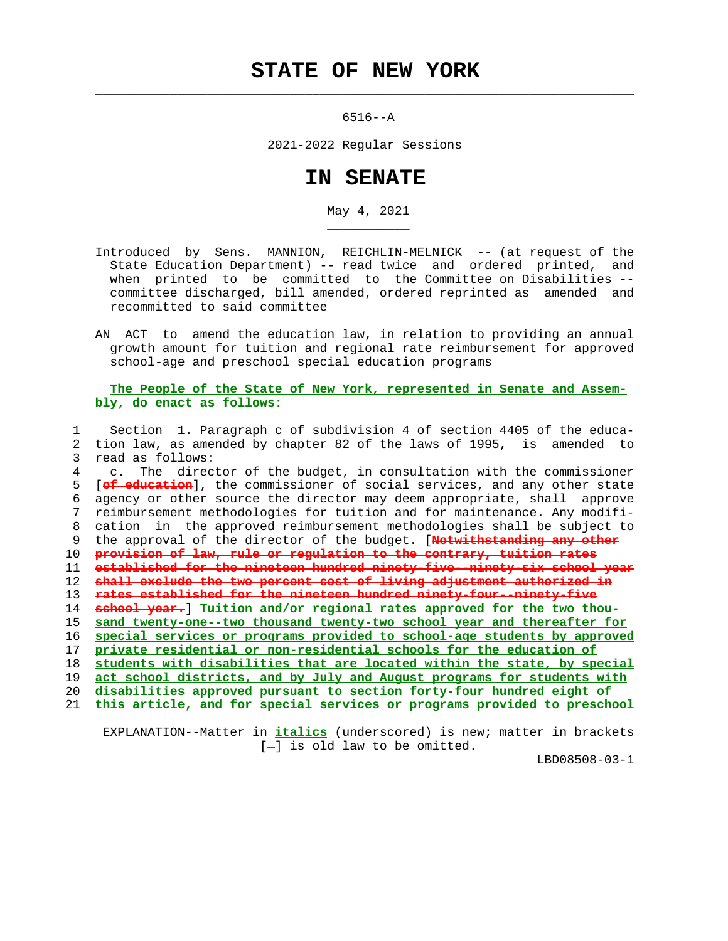## **STATE OF NEW YORK**

 $\mathcal{L}_\text{max} = \frac{1}{2} \sum_{i=1}^{n} \frac{1}{2} \sum_{i=1}^{n} \frac{1}{2} \sum_{i=1}^{n} \frac{1}{2} \sum_{i=1}^{n} \frac{1}{2} \sum_{i=1}^{n} \frac{1}{2} \sum_{i=1}^{n} \frac{1}{2} \sum_{i=1}^{n} \frac{1}{2} \sum_{i=1}^{n} \frac{1}{2} \sum_{i=1}^{n} \frac{1}{2} \sum_{i=1}^{n} \frac{1}{2} \sum_{i=1}^{n} \frac{1}{2} \sum_{i=1}^{n} \frac{1$ 

\_\_\_\_\_\_\_\_\_\_\_

6516--A

2021-2022 Regular Sessions

## **IN SENATE**

May 4, 2021

- Introduced by Sens. MANNION, REICHLIN-MELNICK -- (at request of the State Education Department) -- read twice and ordered printed, and when printed to be committed to the Committee on Disabilities - committee discharged, bill amended, ordered reprinted as amended and recommitted to said committee
- AN ACT to amend the education law, in relation to providing an annual growth amount for tuition and regional rate reimbursement for approved school-age and preschool special education programs

## **The People of the State of New York, represented in Senate and Assem bly, do enact as follows:**

 1 Section 1. Paragraph c of subdivision 4 of section 4405 of the educa- 2 tion law, as amended by chapter 82 of the laws of 1995, is amended to 3 read as follows: 4 c. The director of the budget, in consultation with the commissioner 5 [**of education**], the commissioner of social services, and any other state 6 agency or other source the director may deem appropriate, shall approve 7 reimbursement methodologies for tuition and for maintenance. Any modifi- 8 cation in the approved reimbursement methodologies shall be subject to 9 the approval of the director of the budget. [**Notwithstanding any other** 10 **provision of law, rule or regulation to the contrary, tuition rates** 11 **established for the nineteen hundred ninety-five--ninety-six school year** 12 **shall exclude the two percent cost of living adjustment authorized in** 13 **rates established for the nineteen hundred ninety-four--ninety-five** 14 **school year.**] **Tuition and/or regional rates approved for the two thou-** 15 **sand twenty-one--two thousand twenty-two school year and thereafter for** 16 **special services or programs provided to school-age students by approved** 17 **private residential or non-residential schools for the education of** 18 **students with disabilities that are located within the state, by special** 19 **act school districts, and by July and August programs for students with** 20 **disabilities approved pursuant to section forty-four hundred eight of** 21 **this article, and for special services or programs provided to preschool**

 EXPLANATION--Matter in **italics** (underscored) is new; matter in brackets  $[-]$  is old law to be omitted.

LBD08508-03-1